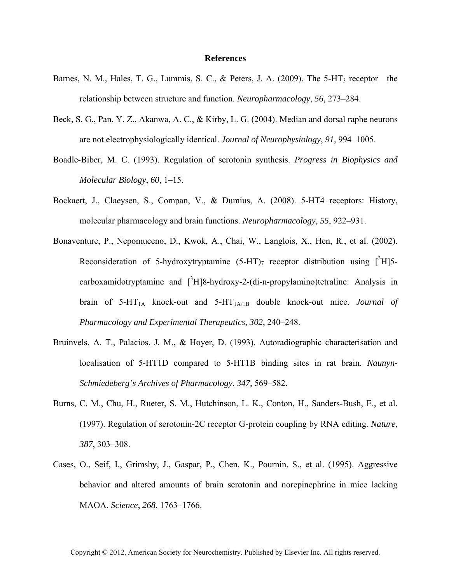## **References**

- Barnes, N. M., Hales, T. G., Lummis, S. C., & Peters, J. A. (2009). The 5-HT<sub>3</sub> receptor—the relationship between structure and function. *Neuropharmacology*, *56*, 273–284.
- Beck, S. G., Pan, Y. Z., Akanwa, A. C., & Kirby, L. G. (2004). Median and dorsal raphe neurons are not electrophysiologically identical. *Journal of Neurophysiology*, *91*, 994–1005.
- Boadle-Biber, M. C. (1993). Regulation of serotonin synthesis. *Progress in Biophysics and Molecular Biology*, *60*, 1–15.
- Bockaert, J., Claeysen, S., Compan, V., & Dumius, A. (2008). 5-HT4 receptors: History, molecular pharmacology and brain functions. *Neuropharmacology*, *55*, 922–931.
- Bonaventure, P., Nepomuceno, D., Kwok, A., Chai, W., Langlois, X., Hen, R., et al. (2002). Reconsideration of 5-hydroxytryptamine  $(5-HT)$ <sub>7</sub> receptor distribution using  $[^{3}H]$ 5carboxamidotryptamine and  $[^3H]8$ -hydroxy-2-(di-n-propylamino)tetraline: Analysis in brain of  $5-HT_{1A}$  knock-out and  $5-HT_{1A/1B}$  double knock-out mice. *Journal of Pharmacology and Experimental Therapeutics*, *302*, 240–248.
- Bruinvels, A. T., Palacios, J. M., & Hoyer, D. (1993). Autoradiographic characterisation and localisation of 5-HT1D compared to 5-HT1B binding sites in rat brain. *Naunyn-Schmiedeberg's Archives of Pharmacology*, *347*, 569–582.
- Burns, C. M., Chu, H., Rueter, S. M., Hutchinson, L. K., Conton, H., Sanders-Bush, E., et al. (1997). Regulation of serotonin-2C receptor G-protein coupling by RNA editing. *Nature*, *387*, 303–308.
- Cases, O., Seif, I., Grimsby, J., Gaspar, P., Chen, K., Pournin, S., et al. (1995). Aggressive behavior and altered amounts of brain serotonin and norepinephrine in mice lacking MAOA. *Science*, *268*, 1763–1766.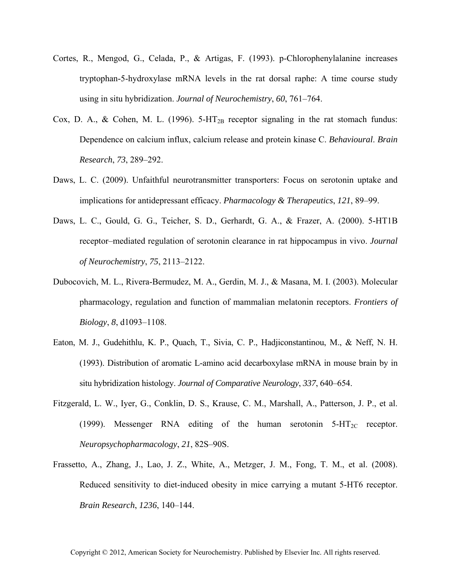- Cortes, R., Mengod, G., Celada, P., & Artigas, F. (1993). p-Chlorophenylalanine increases tryptophan-5-hydroxylase mRNA levels in the rat dorsal raphe: A time course study using in situ hybridization. *Journal of Neurochemistry*, *60*, 761–764.
- Cox, D. A., & Cohen, M. L. (1996).  $5-\text{HT}_{2B}$  receptor signaling in the rat stomach fundus: Dependence on calcium influx, calcium release and protein kinase C. *Behavioural*. *Brain Research*, *73*, 289–292.
- Daws, L. C. (2009). Unfaithful neurotransmitter transporters: Focus on serotonin uptake and implications for antidepressant efficacy. *Pharmacology & Therapeutics*, *121*, 89–99.
- Daws, L. C., Gould, G. G., Teicher, S. D., Gerhardt, G. A., & Frazer, A. (2000). 5-HT1B receptor–mediated regulation of serotonin clearance in rat hippocampus in vivo. *Journal of Neurochemistry*, *75*, 2113–2122.
- Dubocovich, M. L., Rivera-Bermudez, M. A., Gerdin, M. J., & Masana, M. I. (2003). Molecular pharmacology, regulation and function of mammalian melatonin receptors. *Frontiers of Biology*, *8*, d1093–1108.
- Eaton, M. J., Gudehithlu, K. P., Quach, T., Sivia, C. P., Hadjiconstantinou, M., & Neff, N. H. (1993). Distribution of aromatic L-amino acid decarboxylase mRNA in mouse brain by in situ hybridization histology. *Journal of Comparative Neurology*, *337*, 640–654.
- Fitzgerald, L. W., Iyer, G., Conklin, D. S., Krause, C. M., Marshall, A., Patterson, J. P., et al. (1999). Messenger RNA editing of the human serotonin  $5-\text{HT}_{2C}$  receptor. *Neuropsychopharmacology*, *21*, 82S–90S.
- Frassetto, A., Zhang, J., Lao, J. Z., White, A., Metzger, J. M., Fong, T. M., et al. (2008). Reduced sensitivity to diet-induced obesity in mice carrying a mutant 5-HT6 receptor. *Brain Research*, *1236*, 140–144.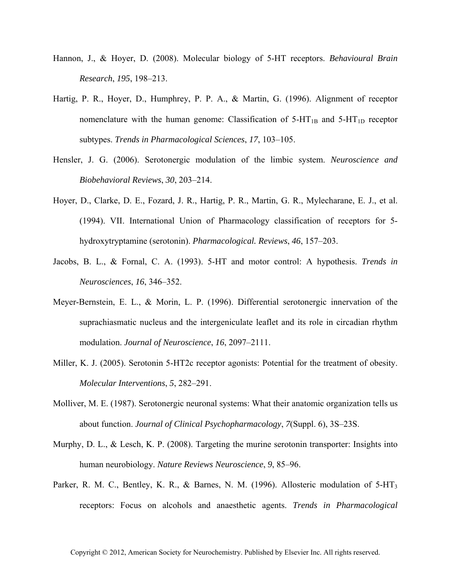- Hannon, J., & Hoyer, D. (2008). Molecular biology of 5-HT receptors. *Behavioural Brain Research*, *195*, 198–213.
- Hartig, P. R., Hoyer, D., Humphrey, P. P. A., & Martin, G. (1996). Alignment of receptor nomenclature with the human genome: Classification of  $5-HT_{1B}$  and  $5-HT_{1D}$  receptor subtypes. *Trends in Pharmacological Sciences*, *17*, 103–105.
- Hensler, J. G. (2006). Serotonergic modulation of the limbic system. *Neuroscience and Biobehavioral Reviews*, *30*, 203–214.
- Hoyer, D., Clarke, D. E., Fozard, J. R., Hartig, P. R., Martin, G. R., Mylecharane, E. J., et al. (1994). VII. International Union of Pharmacology classification of receptors for 5 hydroxytryptamine (serotonin). *Pharmacological. Reviews*, *46*, 157–203.
- Jacobs, B. L., & Fornal, C. A. (1993). 5-HT and motor control: A hypothesis. *Trends in Neurosciences*, *16*, 346–352.
- Meyer-Bernstein, E. L., & Morin, L. P. (1996). Differential serotonergic innervation of the suprachiasmatic nucleus and the intergeniculate leaflet and its role in circadian rhythm modulation. *Journal of Neuroscience*, *16*, 2097–2111.
- Miller, K. J. (2005). Serotonin 5-HT2c receptor agonists: Potential for the treatment of obesity. *Molecular Interventions*, *5*, 282–291.
- Molliver, M. E. (1987). Serotonergic neuronal systems: What their anatomic organization tells us about function. *Journal of Clinical Psychopharmacology*, *7*(Suppl. 6), 3S–23S.
- Murphy, D. L., & Lesch, K. P. (2008). Targeting the murine serotonin transporter: Insights into human neurobiology. *Nature Reviews Neuroscience*, *9*, 85–96.
- Parker, R. M. C., Bentley, K. R., & Barnes, N. M. (1996). Allosteric modulation of 5-HT<sub>3</sub> receptors: Focus on alcohols and anaesthetic agents. *Trends in Pharmacological*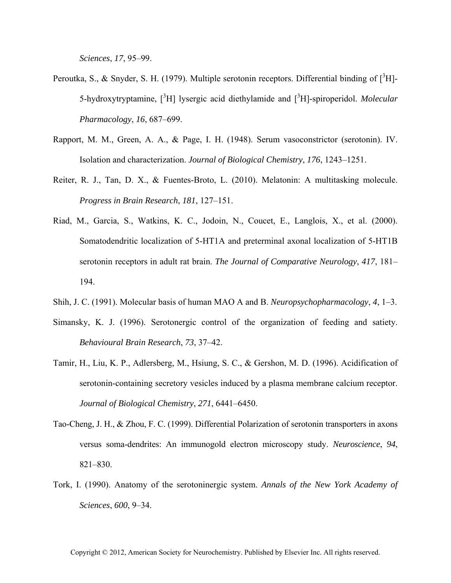*Sciences*, *17*, 95–99.

- Peroutka, S., & Snyder, S. H. (1979). Multiple serotonin receptors. Differential binding of  $[^{3}H]$ -5-hydroxytryptamine, <sup>[3</sup>H] lysergic acid diethylamide and <sup>[3</sup>H]-spiroperidol. *Molecular Pharmacology*, *16*, 687–699.
- Rapport, M. M., Green, A. A., & Page, I. H. (1948). Serum vasoconstrictor (serotonin). IV. Isolation and characterization. *Journal of Biological Chemistry*, *176*, 1243–1251.
- Reiter, R. J., Tan, D. X., & Fuentes-Broto, L. (2010). Melatonin: A multitasking molecule. *Progress in Brain Research*, *181*, 127–151.
- Riad, M., Garcia, S., Watkins, K. C., Jodoin, N., Coucet, E., Langlois, X., et al. (2000). Somatodendritic localization of 5-HT1A and preterminal axonal localization of 5-HT1B serotonin receptors in adult rat brain. *The Journal of Comparative Neurology*, *417*, 181– 194.
- Shih, J. C. (1991). Molecular basis of human MAO A and B. *Neuropsychopharmacology*, *4*, 1–3.
- Simansky, K. J. (1996). Serotonergic control of the organization of feeding and satiety. *Behavioural Brain Research*, *73*, 37–42.
- Tamir, H., Liu, K. P., Adlersberg, M., Hsiung, S. C., & Gershon, M. D. (1996). Acidification of serotonin-containing secretory vesicles induced by a plasma membrane calcium receptor. *Journal of Biological Chemistry*, *271*, 6441–6450.
- Tao-Cheng, J. H., & Zhou, F. C. (1999). Differential Polarization of serotonin transporters in axons versus soma-dendrites: An immunogold electron microscopy study. *Neuroscience*, *94*, 821–830.
- Tork, I. (1990). Anatomy of the serotoninergic system. *Annals of the New York Academy of Sciences*, *600*, 9–34.